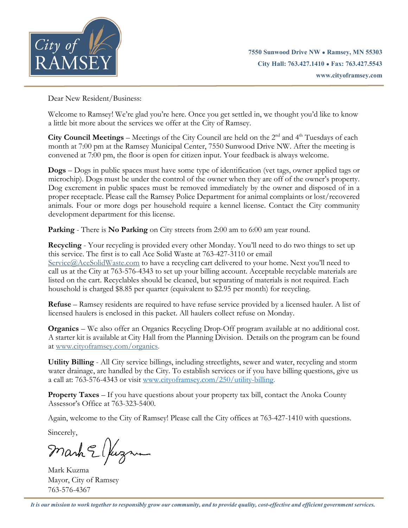

Dear New Resident/Business:

Welcome to Ramsey! We're glad you're here. Once you get settled in, we thought you'd like to know a little bit more about the services we offer at the City of Ramsey.

City Council Meetings - Meetings of the City Council are held on the 2<sup>nd</sup> and 4<sup>th</sup> Tuesdays of each month at 7:00 pm at the Ramsey Municipal Center, 7550 Sunwood Drive NW. After the meeting is convened at 7:00 pm, the floor is open for citizen input. Your feedback is always welcome.

**Dogs** – Dogs in public spaces must have some type of identification (vet tags, owner applied tags or microchip). Dogs must be under the control of the owner when they are off of the owner's property. Dog excrement in public spaces must be removed immediately by the owner and disposed of in a proper receptacle. Please call the Ramsey Police Department for animal complaints or lost/recovered animals. Four or more dogs per household require a kennel license. Contact the City community development department for this license.

**Parking** - There is **No Parking** on City streets from 2:00 am to 6:00 am year round.

**Recycling** - Your recycling is provided every other Monday. You'll need to do two things to set up this service. The first is to call Ace Solid Waste at 763-427-3110 or email Service@AceSolidWaste.com to have a recycling cart delivered to your home. Next you'll need to call us at the City at 763-576-4343 to set up your billing account. Acceptable recyclable materials are listed on the cart. Recyclables should be cleaned, but separating of materials is not required. Each household is charged \$8.85 per quarter (equivalent to \$2.95 per month) for recycling.

**Refuse** – Ramsey residents are required to have refuse service provided by a licensed hauler. A list of licensed haulers is enclosed in this packet. All haulers collect refuse on Monday.

**Organics** – We also offer an Organics Recycling Drop-Off program available at no additional cost. A starter kit is available at City Hall from the Planning Division. Details on the program can be found at [www.cityoframsey.com/organics.](http://www.cityoframsey.com/organics)

**Utility Billing** - All City service billings, including streetlights, sewer and water, recycling and storm water drainage, are handled by the City. To establish services or if you have billing questions, give us a call at: 763-576-4343 or visit [www.cityoframsey.com/250/utility-billing.](http://www.cityoframsey.com/250/utility-billing)

**Property Taxes** – If you have questions about your property tax bill, contact the Anoka County Assessor's Office at 763-323-5400.

Again, welcome to the City of Ramsey! Please call the City offices at 763-427-1410 with questions.

Sincerely,

Mark Elfuzzum

Mark Kuzma Mayor, City of Ramsey 763-576-4367

*It is our mission to work together to responsibly grow our community, and to provide quality, cost-effective and efficient government services.*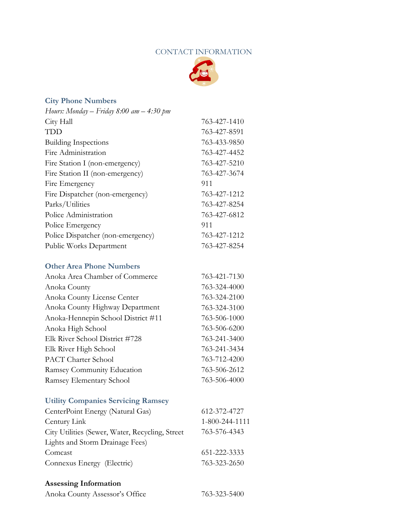# CONTACT INFORMATION



# **City Phone Numbers**

| Hours: Monday $-$ Friday 8:00 am $-$ 4:30 pm |              |
|----------------------------------------------|--------------|
| City Hall                                    | 763-427-1410 |
| TDD                                          | 763-427-8591 |
| <b>Building Inspections</b>                  | 763-433-9850 |
| Fire Administration                          | 763-427-4452 |
| Fire Station I (non-emergency)               | 763-427-5210 |
| Fire Station II (non-emergency)              | 763-427-3674 |
| Fire Emergency                               | 911          |
| Fire Dispatcher (non-emergency)              | 763-427-1212 |
| Parks/Utilities                              | 763-427-8254 |
| Police Administration                        | 763-427-6812 |
| Police Emergency                             | 911          |
| Police Dispatcher (non-emergency)            | 763-427-1212 |
| <b>Public Works Department</b>               | 763-427-8254 |

# **Other Area Phone Numbers**

| Anoka Area Chamber of Commerce     | 763-421-7130 |
|------------------------------------|--------------|
| Anoka County                       | 763-324-4000 |
| Anoka County License Center        | 763-324-2100 |
| Anoka County Highway Department    | 763-324-3100 |
| Anoka-Hennepin School District #11 | 763-506-1000 |
| Anoka High School                  | 763-506-6200 |
| Elk River School District #728     | 763-241-3400 |
| Elk River High School              | 763-241-3434 |
| <b>PACT</b> Charter School         | 763-712-4200 |
| Ramsey Community Education         | 763-506-2612 |
| Ramsey Elementary School           | 763-506-4000 |

# **Utility Companies Servicing Ramsey**

| CenterPoint Energy (Natural Gas)                 | 612-372-4727   |
|--------------------------------------------------|----------------|
| Century Link                                     | 1-800-244-1111 |
| City Utilities (Sewer, Water, Recycling, Street) | 763-576-4343   |
| Lights and Storm Drainage Fees)                  |                |
| Comcast                                          | 651-222-3333   |
| Connexus Energy (Electric)                       | 763-323-2650   |

# **Assessing Information**

| Anoka County Assessor's Office | 763-323-5400 |
|--------------------------------|--------------|
|--------------------------------|--------------|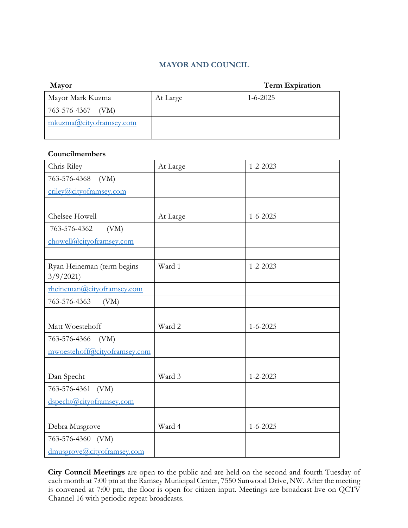# **MAYOR AND COUNCIL**

| Mayor                     |          | <b>Term Expiration</b> |
|---------------------------|----------|------------------------|
| Mayor Mark Kuzma          | At Large | $1 - 6 - 2025$         |
| 763-576-4367 (VM)         |          |                        |
| mkuzma@city of ramsey.com |          |                        |
|                           |          |                        |

#### **Councilmembers**

| Chris Riley                  | At Large | $1 - 2 - 2023$ |
|------------------------------|----------|----------------|
| 763-576-4368<br>(VM)         |          |                |
| criley@cityoframsey.com      |          |                |
|                              |          |                |
| Chelsee Howell               | At Large | $1 - 6 - 2025$ |
| 763-576-4362<br>(VM)         |          |                |
| chowell@cityoframsey.com     |          |                |
|                              |          |                |
| Ryan Heineman (term begins   | Ward 1   | $1 - 2 - 2023$ |
| 3/9/2021                     |          |                |
| rheineman@cityoframsey.com   |          |                |
| 763-576-4363<br>(VM)         |          |                |
|                              |          |                |
| Matt Woestehoff              | Ward 2   | $1 - 6 - 2025$ |
| (VM)<br>763-576-4366         |          |                |
| mwoestehoff@cityoframsey.com |          |                |
|                              |          |                |
| Dan Specht                   | Ward 3   | $1 - 2 - 2023$ |
| 763-576-4361<br>(VM)         |          |                |
| dspecht@cityoframsey.com     |          |                |
|                              |          |                |
| Debra Musgrove               | Ward 4   | $1 - 6 - 2025$ |
| 763-576-4360 (VM)            |          |                |
| dmusgrove@cityoframsey.com   |          |                |

**City Council Meetings** are open to the public and are held on the second and fourth Tuesday of each month at 7:00 pm at the Ramsey Municipal Center, 7550 Sunwood Drive, NW. After the meeting is convened at 7:00 pm, the floor is open for citizen input. Meetings are broadcast live on QCTV Channel 16 with periodic repeat broadcasts.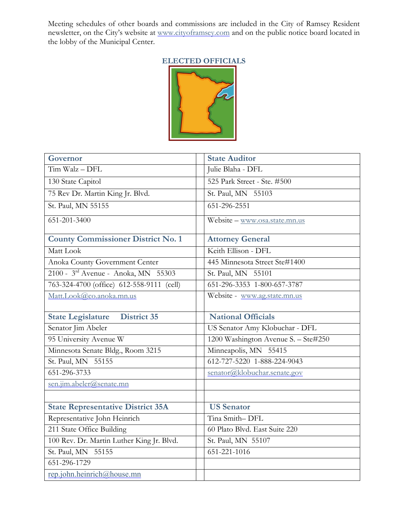Meeting schedules of other boards and commissions are included in the City of Ramsey Resident newsletter, on the City's website at [www.cityoframsey.com](http://www.cityoframsey.com/) [a](http://www.cityoframsey.com/)nd on the public notice board located in the lobby of the Municipal Center.

# **ELECTED OFFICIALS**



| Governor                                  | <b>State Auditor</b>                |
|-------------------------------------------|-------------------------------------|
| Tim Walz - DFL                            | Julie Blaha - DFL                   |
| 130 State Capitol                         | 525 Park Street - Ste. #500         |
| 75 Rev Dr. Martin King Jr. Blvd.          | St. Paul, MN 55103                  |
| St. Paul, MN 55155                        | 651-296-2551                        |
| $651 - 201 - 3400$                        | Website - www.osa.state.mn.us       |
| <b>County Commissioner District No. 1</b> | <b>Attorney General</b>             |
| Matt Look                                 | Keith Ellison - DFL                 |
| Anoka County Government Center            | 445 Minnesota Street Ste#1400       |
| 2100 - 3rd Avenue - Anoka, MN 55303       | St. Paul, MN 55101                  |
| 763-324-4700 (office) 612-558-9111 (cell) | 651-296-3353 1-800-657-3787         |
| Matt.Look@co.anoka.mn.us                  | Website - www.ag.state.mn.us        |
| <b>State Legislature</b> District 35      | <b>National Officials</b>           |
| Senator Jim Abeler                        | US Senator Amy Klobuchar - DFL      |
| 95 University Avenue W                    | 1200 Washington Avenue S. - Ste#250 |
| Minnesota Senate Bldg., Room 3215         | Minneapolis, MN 55415               |
| St. Paul, MN 55155                        | 612-727-5220 1-888-224-9043         |
| 651-296-3733                              | senator@klobuchar.senate.gov        |
| sen.jim.abeler@senate.mn                  |                                     |
|                                           |                                     |
| <b>State Representative District 35A</b>  | <b>US</b> Senator                   |
| Representative John Heinrich              | Tina Smith-DFL                      |
| 211 State Office Building                 | 60 Plato Blvd. East Suite 220       |
| 100 Rev. Dr. Martin Luther King Jr. Blvd. | St. Paul, MN 55107                  |
| St. Paul, MN 55155                        | 651-221-1016                        |
| 651-296-1729                              |                                     |
| rep.john.heinrich@house.mn                |                                     |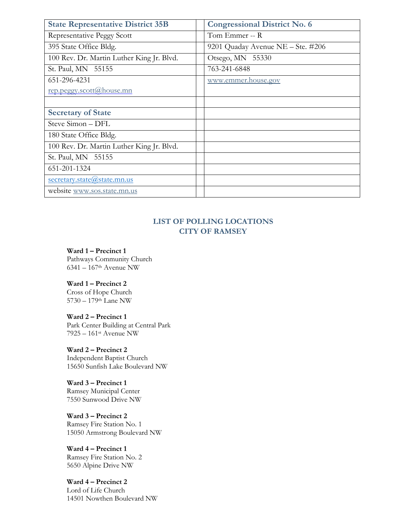| <b>State Representative District 35B</b>  | <b>Congressional District No. 6</b> |
|-------------------------------------------|-------------------------------------|
| Representative Peggy Scott                | Tom Emmer -- R                      |
| 395 State Office Bldg.                    | 9201 Quaday Avenue NE - Ste. #206   |
| 100 Rev. Dr. Martin Luther King Jr. Blvd. | Otsego, MN 55330                    |
| St. Paul, MN 55155                        | 763-241-6848                        |
| 651-296-4231                              | www.emmer.house.gov                 |
| rep.peggy.scott@house.mn                  |                                     |
|                                           |                                     |
| <b>Secretary of State</b>                 |                                     |
| Steve Simon - DFL                         |                                     |
| 180 State Office Bldg.                    |                                     |
| 100 Rev. Dr. Martin Luther King Jr. Blvd. |                                     |
| St. Paul, MN 55155                        |                                     |
| 651-201-1324                              |                                     |
| secretary.state@state.mn.us               |                                     |
| website www.sos.state.mn.us               |                                     |

# **LIST OF POLLING LOCATIONS CITY OF RAMSEY**

**Ward 1 – Precinct 1** Pathways Community Church 6341 – 167th Avenue NW

**Ward 1 – Precinct 2** Cross of Hope Church 5730 – 179th Lane NW

**Ward 2 – Precinct 1** Park Center Building at Central Park 7925 – 161st Avenue NW

**Ward 2 – Precinct 2** Independent Baptist Church 15650 Sunfish Lake Boulevard NW

**Ward 3 – Precinct 1** Ramsey Municipal Center 7550 Sunwood Drive NW

**Ward 3 – Precinct 2** Ramsey Fire Station No. 1 15050 Armstrong Boulevard NW

**Ward 4 – Precinct 1** Ramsey Fire Station No. 2 5650 Alpine Drive NW

**Ward 4 – Precinct 2** Lord of Life Church 14501 Nowthen Boulevard NW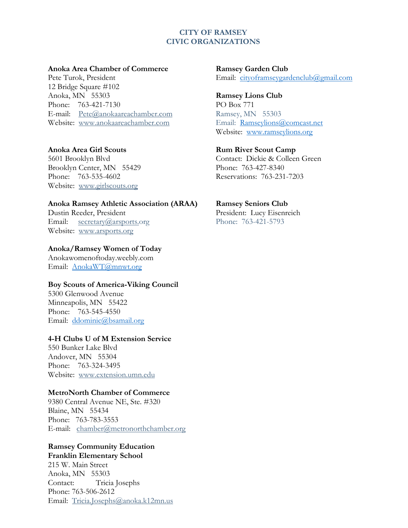#### **CITY OF RAMSEY CIVIC ORGANIZATIONS**

#### **Anoka Area Chamber of Commerce Ramsey Garden Club**

12 Bridge Square #102 Anoka, MN 55303 **Ramsey Lions Club** Phone: 763-421-7130 PO Box 771 E-mail: [Pete@anokaareachamber.com](mailto:Pete@anokaareachamber.com) Ramsey, MN 55303 Website: [www.anokaareachamber.com](http://www.anokaareachamber.com/) Email: [Ramseylions@comcast.net](mailto:Ramseylions@comcast.net)

#### **Anoka Area Girl Scouts Rum River Scout Camp**

5601 Brooklyn Blvd Contact: Dickie & Colleen Green Brooklyn Center, MN 55429 Phone: 763-427-8340 Phone: 763-535-4602 Reservations: 763-231-7203 Website: [www.girlscouts.org](http://www.girlscouts.org/)

#### **Anoka Ramsey Athletic Association (ARAA) Ramsey Seniors Club**

Dustin Reeder, President President: Lucy Eisenreich<br>
Email: secretary@arsports.org Phone: 763-421-5793 Email:  $secretarv@arsports.org$ Website: [www.arsports.org](http://www.arsports.org/)

#### **Anoka/Ramsey Women of Today**

Anokawomenoftoday.weebly.com Email: [AnokaWT@mnwt.org](mailto:AnokaWT@mnwt.org)

#### **Boy Scouts of America-Viking Council**

5300 Glenwood Avenue Minneapolis, MN 55422 Phone: 763-545-4550 Email: [ddominic@bsamail.org](mailto:ddominic@bsamail.org)

#### **4-H Clubs U of M Extension Service**

550 Bunker Lake Blvd Andover, MN 55304 Phone: 763-324-3495 Website: [www.extension.umn.edu](http://www.extension.umn.edu/)

#### **MetroNorth Chamber of Commerce**

9380 Central Avenue NE, Ste. #320 Blaine, MN 55434 Phone: 763-783-3553 E-mail: [chamber@metronorthchamber.org](mailto:chamber@metronorthchamber.org)

# **Ramsey Community Education Franklin Elementary School**

215 W. Main Street Anoka, MN 55303 Contact: Tricia Josephs Phone: 763-506-2612 Email: [Tricia.Josephs@anoka.k12mn.us](mailto:Tricia.Josephs@anoka.k12mn.us)

Pete Turok, President Email: [cityoframseygardenclub@gmail.com](mailto:cityoframseygardenclub@gmail.com)

Website: [www.ramseylions.org](http://www.ramseylions.org/)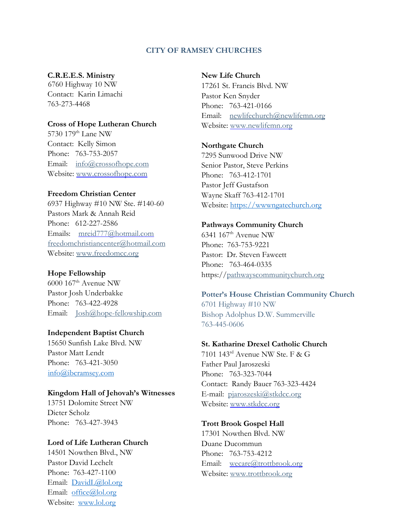#### **CITY OF RAMSEY CHURCHES**

#### **C.R.E.E.S. Ministry**

6760 Highway 10 NW Contact: Karin Limachi 763-273-4468

#### **Cross of Hope Lutheran Church**

5730 179<sup>th</sup> Lane NW Contact: Kelly Simon Phone: 763-753-2057 Email: [info@crossofhope.com](mailto:info@crossofhope.com) Website: www.crossofhope.com

#### **Freedom Christian Center**

6937 Highway #10 NW Ste. #140-60 Pastors Mark & Annah Reid Phone: 612-227-2586 Emails: mreid777@hotmail.com [freedomchristiancenter@hotmail.com](mailto:freedomchristiancenter@hotmail.com) Website: [www.freedomcc.org](http://www.freedomcc.org/)

#### **Hope Fellowship**

6000 167th Avenue NW Pastor Josh Underbakke Phone: 763-422-4928 Email: [Josh@hope-fellowship.com](mailto:Josh@hope-fellowship.com)

#### **Independent Baptist Church**

15650 Sunfish Lake Blvd. NW Pastor Matt Lendt Phone: 763-421-3050 [info@ibcramsey.com](mailto:info@ibcramsey.com)

#### **Kingdom Hall of Jehovah's Witnesses**

13751 Dolomite Street NW Dieter Scholz Phone: 763-427-3943

#### **Lord of Life Lutheran Church**

14501 Nowthen Blvd., NW Pastor David Lechelt Phone: 763-427-1100 Email: [DavidL@lol.org](mailto:DavidL@lol.org) Email: [office@lol.org](mailto:office@lol.org) Website: [www.lol.org](http://www.lol.org/)

#### **New Life Church**

17261 St. Francis Blvd. NW Pastor Ken Snyder Phone: 763-421-0166 Email: [newlifechurch@newlifemn.org](mailto:newlifechurch@newlifemn.org) Website: [www.newlifemn.org](http://www.newlifemn.org/)

#### **Northgate Church**

7295 Sunwood Drive NW Senior Pastor, Steve Perkins Phone: 763-412-1701 Pastor Jeff Gustafson Wayne Skaff 763-412-1701 Website: [https://wwwngatechurch.org](https://wwwngatechurch.org/)

#### **Pathways Community Church**

6341 167<sup>th</sup> Avenue NW Phone: 763-753-9221 Pastor: Dr. Steven Fawcett Phone: 763-464-0335 https:/[/pathwayscommunitychurch.org](http://www.pathwayscommunitychurch.org/)

# **Potter's House Christian Community Church**

6701 Highway #10 NW Bishop Adolphus D.W. Summerville 763-445-0606

#### **St. Katharine Drexel Catholic Church**

7101 143rd Avenue NW Ste. F & G Father Paul Jaroszeski Phone: 763-323-7044 Contact: Randy Bauer 763-323-4424 E-mail: [pjaroszeski@stkdcc.org](mailto:pjaroszeski@stkdcc.org) Website: [www.stkdcc.org](http://www.stkdcc.org/)

#### **Trott Brook Gospel Hall**

17301 Nowthen Blvd. NW Duane Ducommun Phone: 763-753-4212 Email: [wecare@trottbrook.org](mailto:wecare@trottbrook.org) Website: [www.trottbrook.org](http://www.trottbrook.org/)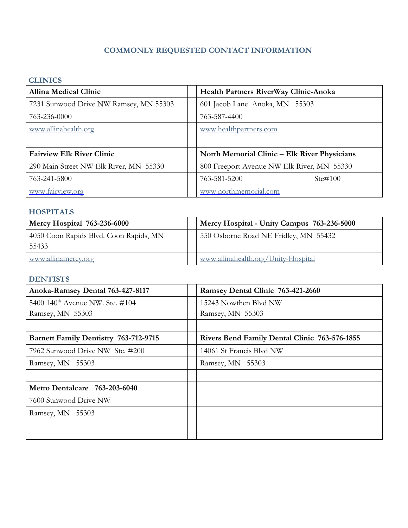# **COMMONLY REQUESTED CONTACT INFORMATION**

# **CLINICS**

| <b>Allina Medical Clinic</b>           | Health Partners RiverWay Clinic-Anoka        |
|----------------------------------------|----------------------------------------------|
| 7231 Sunwood Drive NW Ramsey, MN 55303 | 601 Jacob Lane Anoka, MN 55303               |
| 763-236-0000                           | 763-587-4400                                 |
| www.allinahealth.org                   | www.healthpartners.com                       |
|                                        |                                              |
| <b>Fairview Elk River Clinic</b>       | North Memorial Clinic – Elk River Physicians |
| 290 Main Street NW Elk River, MN 55330 | 800 Freeport Avenue NW Elk River, MN 55330   |
| 763-241-5800                           | Ste#100<br>763-581-5200                      |
| www.fairview.org                       | www.northmemorial.com                        |

# **HOSPITALS**

| <b>Mercy Hospital 763-236-6000</b>              | Mercy Hospital - Unity Campus 763-236-5000 |
|-------------------------------------------------|--------------------------------------------|
| 4050 Coon Rapids Blvd. Coon Rapids, MN<br>55433 | 550 Osborne Road NE Fridley, MN 55432      |
| www.allinamercy.org                             | www.allinahealth.org/Unity-Hospital        |

# **DENTISTS**

| Anoka-Ramsey Dental 763-427-8117             | Ramsey Dental Clinic 763-421-2660                    |
|----------------------------------------------|------------------------------------------------------|
| 5400 140 <sup>th</sup> Avenue NW. Ste. #104  | 15243 Nowthen Blvd NW                                |
| Ramsey, MN 55303                             | Ramsey, MN 55303                                     |
|                                              |                                                      |
| <b>Barnett Family Dentistry 763-712-9715</b> | <b>Rivers Bend Family Dental Clinic 763-576-1855</b> |
| 7962 Sunwood Drive NW Ste. #200              | 14061 St Francis Blvd NW                             |
| Ramsey, MN 55303                             | Ramsey, MN 55303                                     |
|                                              |                                                      |
| Metro Dentalcare 763-203-6040                |                                                      |
| 7600 Sunwood Drive NW                        |                                                      |
| Ramsey, MN 55303                             |                                                      |
|                                              |                                                      |
|                                              |                                                      |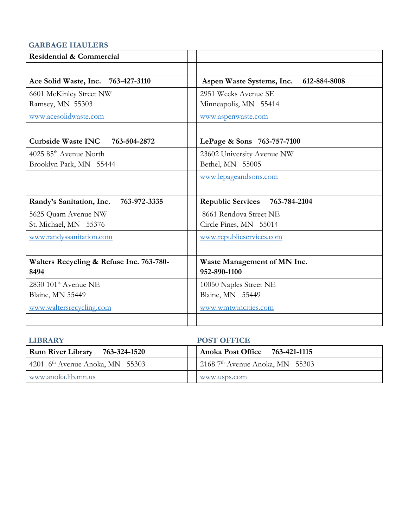# **GARBAGE HAULERS**

| <b>Residential &amp; Commercial</b>       |                                           |
|-------------------------------------------|-------------------------------------------|
|                                           |                                           |
| Ace Solid Waste, Inc. 763-427-3110        | 612-884-8008<br>Aspen Waste Systems, Inc. |
| 6601 McKinley Street NW                   | 2951 Weeks Avenue SE                      |
| Ramsey, MN 55303                          | Minneapolis, MN 55414                     |
| www.acesolidwaste.com                     | www.aspenwaste.com                        |
|                                           |                                           |
| <b>Curbside Waste INC</b><br>763-504-2872 | LePage & Sons 763-757-7100                |
| 4025 85 <sup>th</sup> Avenue North        | 23602 University Avenue NW                |
| Brooklyn Park, MN 55444                   | Bethel, MN 55005                          |
|                                           | www.lepageandsons.com                     |
|                                           |                                           |
| Randy's Sanitation, Inc.<br>763-972-3335  | Republic Services 763-784-2104            |
| 5625 Quam Avenue NW                       | 8661 Rendova Street NE                    |
| St. Michael, MN 55376                     | Circle Pines, MN 55014                    |
| www.randyssanitation.com                  | www.republicservices.com                  |
|                                           |                                           |
| Walters Recycling & Refuse Inc. 763-780-  | Waste Management of MN Inc.               |
| 8494                                      | 952-890-1100                              |
| $2830~101$ <sup>st</sup> Avenue NE        | 10050 Naples Street NE                    |
| Blaine, MN 55449                          | Blaine, MN 55449                          |
| www.waltersrecycling.com                  | www.wmtwincities.com                      |
|                                           |                                           |

| <b>LIBRARY</b>                    | <b>POST OFFICE</b>                |
|-----------------------------------|-----------------------------------|
| Rum River Library 763-324-1520    | Anoka Post Office 763-421-1115    |
| 4201 $6th$ Avenue Anoka, MN 55303 | 2168 $7th$ Avenue Anoka, MN 55303 |
| www.anoka.lib.mn.us               | www.usps.com                      |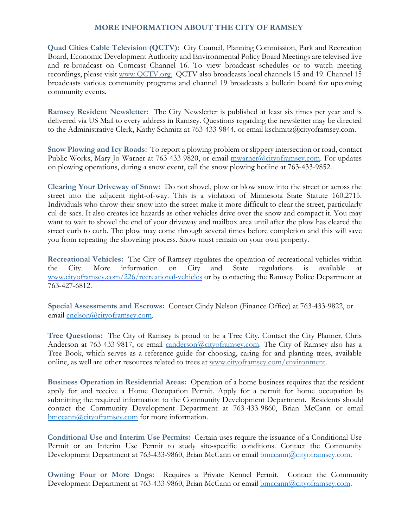# **MORE INFORMATION ABOUT THE CITY OF RAMSEY**

**Quad Cities Cable Television (QCTV):** City Council, Planning Commission, Park and Recreation Board, Economic Development Authority and Environmental Policy Board Meetings are televised live and re-broadcast on Comcast Channel 16. To view broadcast schedules or to watch meeting recordings, please visit [www.QCTV.org.](http://www.qctv.org/) QCTV also broadcasts local channels 15 and 19. Channel 15 broadcasts various community programs and channel 19 broadcasts a bulletin board for upcoming community events.

**Ramsey Resident Newsletter:** The City Newsletter is published at least six times per year and is delivered via US Mail to every address in Ramsey. Questions regarding the newsletter may be directed to the Administrative Clerk, Kathy Schmitz at 763-433-9844, or email kschmitz@cityoframsey.com.

**Snow Plowing and Icy Roads:** To report a plowing problem or slippery intersection or road, contact Public Works, Mary Jo Warner at 763-433-9820, or email [mwarner@cityoframsey.com.](mailto:mwarner@cityoframsey.com) For updates on plowing operations, during a snow event, call the snow plowing hotline at 763-433-9852.

**Clearing Your Driveway of Snow:** Do not shovel, plow or blow snow into the street or across the street into the adjacent right-of-way. This is a violation of Minnesota State Statute 160.2715. Individuals who throw their snow into the street make it more difficult to clear the street, particularly cul-de-sacs. It also creates ice hazards as other vehicles drive over the snow and compact it. You may want to wait to shovel the end of your driveway and mailbox area until after the plow has cleared the street curb to curb. The plow may come through several times before completion and this will save you from repeating the shoveling process. Snow must remain on your own property.

**Recreational Vehicles:** The City of Ramsey regulates the operation of recreational vehicles within the City. More information on City and State regulations is available at [www.cityoframsey.com/226/recreational-vehicles](http://www.cityoframsey.com/226/recreational-vehicles) or by contacting the Ramsey Police Department at 763-427-6812.

**Special Assessments and Escrows:** Contact Cindy Nelson (Finance Office) at 763-433-9822, or email [cnelson@cityoframsey.com.](mailto:cnelson@cityoframsey.com)

**Tree Questions:** The City of Ramsey is proud to be a Tree City. Contact the City Planner, Chris Anderson at 763-433-9817, or email *canderson@cityoframsey.com*. The City of Ramsey also has a Tree Book, which serves as a reference guide for choosing, caring for and planting trees, available online, as well are other resources related to trees at [www.cityoframsey.com/environment.](http://www.cityoframsey.com/environment)

**Business Operation in Residential Areas:** Operation of a home business requires that the resident apply for and receive a Home Occupation Permit. Apply for a permit for home occupation by submitting the required information to the Community Development Department. Residents should contact the Community Development Department at 763-433-9860, Brian McCann or email [bmccann@cityoframsey.com](mailto:bmccann@cityoframsey.com) for more information.

**Conditional Use and Interim Use Permits:** Certain uses require the issuance of a Conditional Use Permit or an Interim Use Permit to study site-specific conditions. Contact the Community Development Department at 763-433-9860, Brian McCann or email **bmccann@cityoframsey.com**.

**Owning Four or More Dogs:** Requires a Private Kennel Permit. Contact the Community Development Department at 763-433-9860, Brian McCann or email **bmccann**@cityoframsey.com.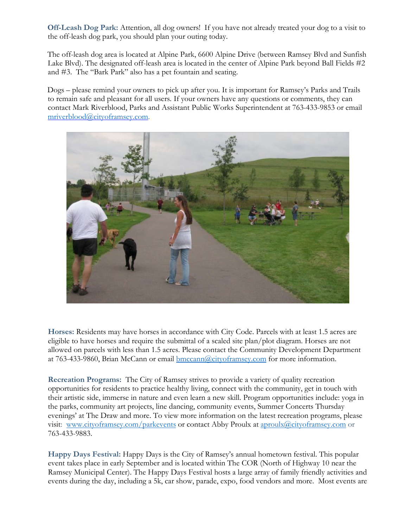**Off-Leash Dog Park:** Attention, all dog owners! If you have not already treated your dog to a visit to the off-leash dog park, you should plan your outing today.

The off-leash dog area is located at Alpine Park, 6600 Alpine Drive (between Ramsey Blvd and Sunfish Lake Blvd). The designated off-leash area is located in the center of Alpine Park beyond Ball Fields #2 and #3. The "Bark Park" also has a pet fountain and seating.

Dogs – please remind your owners to pick up after you. It is important for Ramsey's Parks and Trails to remain safe and pleasant for all users. If your owners have any questions or comments, they can contact Mark Riverblood, Parks and Assistant Public Works Superintendent at 763-433-9853 or email [mriverblood@cityoframsey.com.](mailto:mriverblood@cityoframsey.com)



**Horses:** Residents may have horses in accordance with City Code. Parcels with at least 1.5 acres are eligible to have horses and require the submittal of a scaled site plan/plot diagram. Horses are not allowed on parcels with less than 1.5 acres. Please contact the Community Development Department at 763-433-9860, Brian McCann or email **bmccann@cityoframsey.com** for more information.

**Recreation Programs:** The City of Ramsey strives to provide a variety of quality recreation opportunities for residents to practice healthy living, connect with the community, get in touch with their artistic side, immerse in nature and even learn a new skill. Program opportunities include: yoga in the parks, community art projects, line dancing, community events, Summer Concerts Thursday evenings' at The Draw and more. To view more information on the latest recreation programs, please visit: [www.cityoframsey.com/parkevents](http://www.cityoframsey.com/parkevents) or contact Abby Proulx at [aproulx@cityoframsey.com](mailto:aproulx@cityoframsey.com) or 763-433-9883.

**Happy Days Festival:** Happy Days is the City of Ramsey's annual hometown festival. This popular event takes place in early September and is located within The COR (North of Highway 10 near the Ramsey Municipal Center). The Happy Days Festival hosts a large array of family friendly activities and events during the day, including a 5k, car show, parade, expo, food vendors and more. Most events are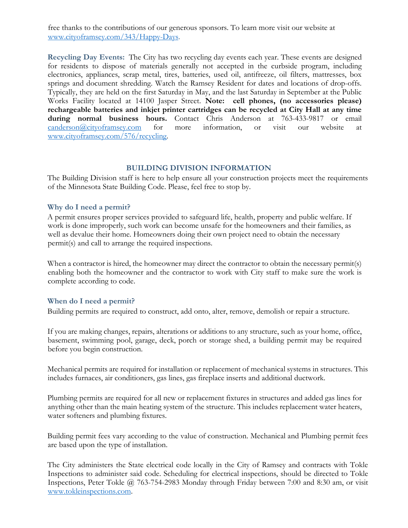free thanks to the contributions of our generous sponsors. To learn more visit our website at [www.cityoframsey.com/343/Happy-Days.](http://www.cityoframsey.com/343/Happy-Days)

**Recycling Day Events:** The City has two recycling day events each year. These events are designed for residents to dispose of materials generally not accepted in the curbside program, including electronics, appliances, scrap metal, tires, batteries, used oil, antifreeze, oil filters, mattresses, box springs and document shredding. Watch the Ramsey Resident for dates and locations of drop-offs. Typically, they are held on the first Saturday in May, and the last Saturday in September at the Public Works Facility located at 14100 Jasper Street. **Note: cell phones, (no accessories please) rechargeable batteries and inkjet printer cartridges can be recycled at City Hall at any time during normal business hours.** Contact Chris Anderson at 763-433-9817 or email canderson activo framsev.com for more information, or visit our website at [canderson@cityoframsey.com](mailto:canderson@cityoframsey.com) for more information, or visit our website at [www.cityoframsey.com/576/recycling.](http://www.cityoframsey.com/576/recycling)

#### **BUILDING DIVISION INFORMATION**

The Building Division staff is here to help ensure all your construction projects meet the requirements of the Minnesota State Building Code. Please, feel free to stop by.

#### **Why do I need a permit?**

A permit ensures proper services provided to safeguard life, health, property and public welfare. If work is done improperly, such work can become unsafe for the homeowners and their families, as well as devalue their home. Homeowners doing their own project need to obtain the necessary permit(s) and call to arrange the required inspections.

When a contractor is hired, the homeowner may direct the contractor to obtain the necessary permit(s) enabling both the homeowner and the contractor to work with City staff to make sure the work is complete according to code.

#### **When do I need a permit?**

Building permits are required to construct, add onto, alter, remove, demolish or repair a structure.

If you are making changes, repairs, alterations or additions to any structure, such as your home, office, basement, swimming pool, garage, deck, porch or storage shed, a building permit may be required before you begin construction.

Mechanical permits are required for installation or replacement of mechanical systems in structures. This includes furnaces, air conditioners, gas lines, gas fireplace inserts and additional ductwork.

Plumbing permits are required for all new or replacement fixtures in structures and added gas lines for anything other than the main heating system of the structure. This includes replacement water heaters, water softeners and plumbing fixtures.

Building permit fees vary according to the value of construction. Mechanical and Plumbing permit fees are based upon the type of installation.

The City administers the State electrical code locally in the City of Ramsey and contracts with Tokle Inspections to administer said code. Scheduling for electrical inspections, should be directed to Tokle Inspections, Peter Tokle @ 763-754-2983 Monday through Friday between 7:00 and 8:30 am, or visit [www.tokleinspections.com.](http://www.tokleinspections.com/)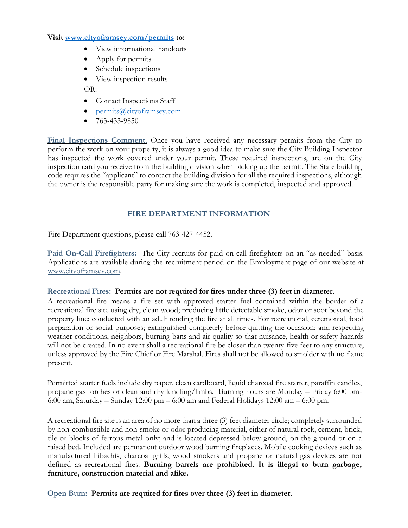#### **Visit [www.cityoframsey.com/permits](http://www.cityoframsey.com/permits) to:**

- View informational handouts
- Apply for permits
- Schedule inspections
- View inspection results

OR:

- Contact Inspections Staff
- [permits@cityoframsey.com](mailto:permits@cityoframsey.com)
- $763 433 9850$

Final Inspections Comment. Once you have received any necessary permits from the City to perform the work on your property, it is always a good idea to make sure the City Building Inspector has inspected the work covered under your permit. These required inspections, are on the City inspection card you receive from the building division when picking up the permit. The State building code requires the "applicant" to contact the building division for all the required inspections, although the owner is the responsible party for making sure the work is completed, inspected and approved.

# **FIRE DEPARTMENT INFORMATION**

Fire Department questions, please call 763-427-4452.

**Paid On-Call Firefighters:** The City recruits for paid on-call firefighters on an "as needed" basis. Applications are available during the recruitment period on the Employment page of our website at [www.cityoframsey.com.](http://www.cityoframsey.com/)

### **Recreational Fires: Permits are not required for fires under three (3) feet in diameter.**

A recreational fire means a fire set with approved starter fuel contained within the border of a recreational fire site using dry, clean wood; producing little detectable smoke, odor or soot beyond the property line; conducted with an adult tending the fire at all times. For recreational, ceremonial, food preparation or social purposes; extinguished completely before quitting the occasion; and respecting weather conditions, neighbors, burning bans and air quality so that nuisance, health or safety hazards will not be created. In no event shall a recreational fire be closer than twenty-five feet to any structure, unless approved by the Fire Chief or Fire Marshal. Fires shall not be allowed to smolder with no flame present.

Permitted starter fuels include dry paper, clean cardboard, liquid charcoal fire starter, paraffin candles, propane gas torches or clean and dry kindling/limbs. Burning hours are Monday – Friday 6:00 pm-6:00 am, Saturday – Sunday 12:00 pm – 6:00 am and Federal Holidays 12:00 am – 6:00 pm.

A recreational fire site is an area of no more than a three (3) feet diameter circle; completely surrounded by non-combustible and non-smoke or odor producing material, either of natural rock, cement, brick, tile or blocks of ferrous metal only; and is located depressed below ground, on the ground or on a raised bed. Included are permanent outdoor wood burning fireplaces. Mobile cooking devices such as manufactured hibachis, charcoal grills, wood smokers and propane or natural gas devices are not defined as recreational fires. **Burning barrels are prohibited. It is illegal to burn garbage, furniture, construction material and alike.** 

**Open Burn: Permits are required for fires over three (3) feet in diameter.**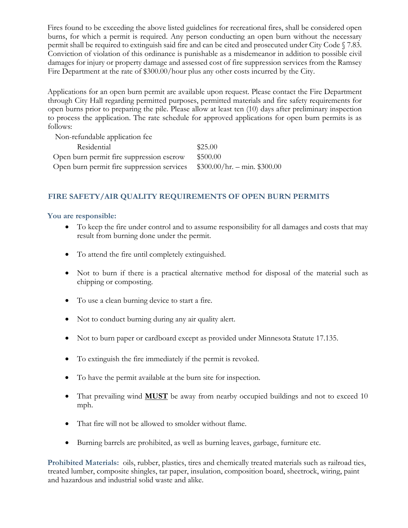Fires found to be exceeding the above listed guidelines for recreational fires, shall be considered open burns, for which a permit is required. Any person conducting an open burn without the necessary permit shall be required to extinguish said fire and can be cited and prosecuted under City Code § 7.83. Conviction of violation of this ordinance is punishable as a misdemeanor in addition to possible civil damages for injury or property damage and assessed cost of fire suppression services from the Ramsey Fire Department at the rate of \$300.00/hour plus any other costs incurred by the City.

Applications for an open burn permit are available upon request. Please contact the Fire Department through City Hall regarding permitted purposes, permitted materials and fire safety requirements for open burns prior to preparing the pile. Please allow at least ten (10) days after preliminary inspection to process the application. The rate schedule for approved applications for open burn permits is as follows:

| Non-refundable application fee             |                              |
|--------------------------------------------|------------------------------|
| Residential                                | \$25.00                      |
| Open burn permit fire suppression escrow   | \$500.00                     |
| Open burn permit fire suppression services | $$300.00/hr. - min. $300.00$ |

# **FIRE SAFETY/AIR QUALITY REQUIREMENTS OF OPEN BURN PERMITS**

#### **You are responsible:**

- To keep the fire under control and to assume responsibility for all damages and costs that may result from burning done under the permit.
- To attend the fire until completely extinguished.
- Not to burn if there is a practical alternative method for disposal of the material such as chipping or composting.
- To use a clean burning device to start a fire.
- Not to conduct burning during any air quality alert.
- Not to burn paper or cardboard except as provided under Minnesota Statute 17.135.
- To extinguish the fire immediately if the permit is revoked.
- To have the permit available at the burn site for inspection.
- That prevailing wind **MUST** be away from nearby occupied buildings and not to exceed 10 mph.
- That fire will not be allowed to smolder without flame.
- Burning barrels are prohibited, as well as burning leaves, garbage, furniture etc.

**Prohibited Materials:** oils, rubber, plastics, tires and chemically treated materials such as railroad ties, treated lumber, composite shingles, tar paper, insulation, composition board, sheetrock, wiring, paint and hazardous and industrial solid waste and alike.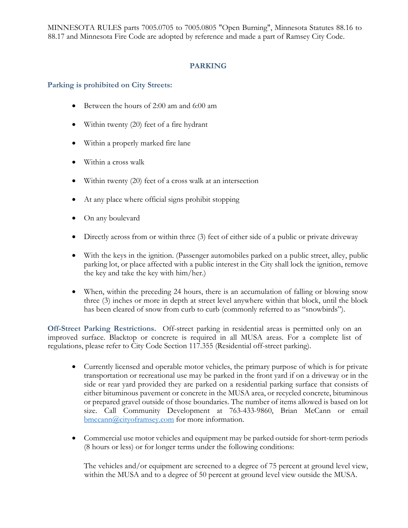MINNESOTA RULES parts 7005.0705 to 7005.0805 "Open Burning", Minnesota Statutes 88.16 to 88.17 and Minnesota Fire Code are adopted by reference and made a part of Ramsey City Code.

# **PARKING**

# **Parking is prohibited on City Streets:**

- Between the hours of 2:00 am and 6:00 am
- Within twenty (20) feet of a fire hydrant
- Within a properly marked fire lane
- Within a cross walk
- Within twenty (20) feet of a cross walk at an intersection
- At any place where official signs prohibit stopping
- On any boulevard
- Directly across from or within three (3) feet of either side of a public or private driveway
- With the keys in the ignition. (Passenger automobiles parked on a public street, alley, public parking lot, or place affected with a public interest in the City shall lock the ignition, remove the key and take the key with him/her.)
- When, within the preceding 24 hours, there is an accumulation of falling or blowing snow three (3) inches or more in depth at street level anywhere within that block, until the block has been cleared of snow from curb to curb (commonly referred to as "snowbirds").

**Off-Street Parking Restrictions.** Off-street parking in residential areas is permitted only on an improved surface. Blacktop or concrete is required in all MUSA areas. For a complete list of regulations, please refer to City Code Section 117.355 (Residential off-street parking).

- Currently licensed and operable motor vehicles, the primary purpose of which is for private transportation or recreational use may be parked in the front yard if on a driveway or in the side or rear yard provided they are parked on a residential parking surface that consists of either bituminous pavement or concrete in the MUSA area, or recycled concrete, bituminous or prepared gravel outside of those boundaries. The number of items allowed is based on lot size. Call Community Development at 763-433-9860, Brian McCann or email [bmccann@cityoframsey.com](mailto:bmccann@cityoframsey.com) for more information.
- Commercial use motor vehicles and equipment may be parked outside for short-term periods (8 hours or less) or for longer terms under the following conditions:

The vehicles and/or equipment are screened to a degree of 75 percent at ground level view, within the MUSA and to a degree of 50 percent at ground level view outside the MUSA.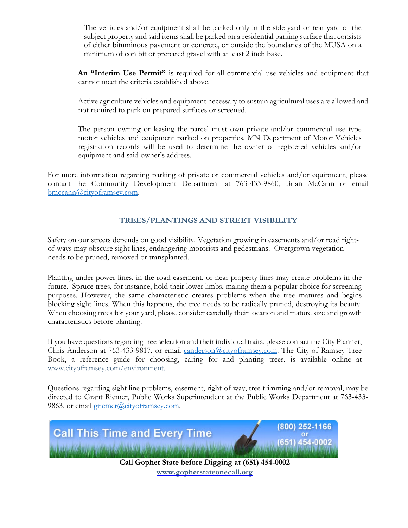The vehicles and/or equipment shall be parked only in the side yard or rear yard of the subject property and said items shall be parked on a residential parking surface that consists of either bituminous pavement or concrete, or outside the boundaries of the MUSA on a minimum of con bit or prepared gravel with at least 2 inch base.

**An "Interim Use Permit"** is required for all commercial use vehicles and equipment that cannot meet the criteria established above.

Active agriculture vehicles and equipment necessary to sustain agricultural uses are allowed and not required to park on prepared surfaces or screened.

The person owning or leasing the parcel must own private and/or commercial use type motor vehicles and equipment parked on properties. MN Department of Motor Vehicles registration records will be used to determine the owner of registered vehicles and/or equipment and said owner's address.

For more information regarding parking of private or commercial vehicles and/or equipment, please contact the Community Development Department at 763-433-9860, Brian McCann or email [bmccann@cityoframsey.com.](mailto:bmccann@cityoframsey.com)

# **TREES/PLANTINGS AND STREET VISIBILITY**

Safety on our streets depends on good visibility. Vegetation growing in easements and/or road rightof-ways may obscure sight lines, endangering motorists and pedestrians. Overgrown vegetation needs to be pruned, removed or transplanted.

Planting under power lines, in the road easement, or near property lines may create problems in the future. Spruce trees, for instance, hold their lower limbs, making them a popular choice for screening purposes. However, the same characteristic creates problems when the tree matures and begins blocking sight lines. When this happens, the tree needs to be radically pruned, destroying its beauty. When choosing trees for your yard, please consider carefully their location and mature size and growth characteristics before planting.

If you have questions regarding tree selection and their individual traits, please contact the City Planner, Chris Anderson at 763-433-9817, or email [canderson@cityoframsey.com.](mailto:canderson@cityoframsey.com) The City of Ramsey Tree Book, a reference guide for choosing, caring for and planting trees, is available online at [www.cityoframsey.com/environment.](http://www.cityoframsey.com/environment)

Questions regarding sight line problems, easement, right-of-way, tree trimming and/or removal, may be directed to Grant Riemer, Public Works Superintendent at the Public Works Department at 763-433 9863, or email [griemer@cityoframsey.com.](mailto:griemer@cityoframsey.com)



**www.gopherstateonecall.org**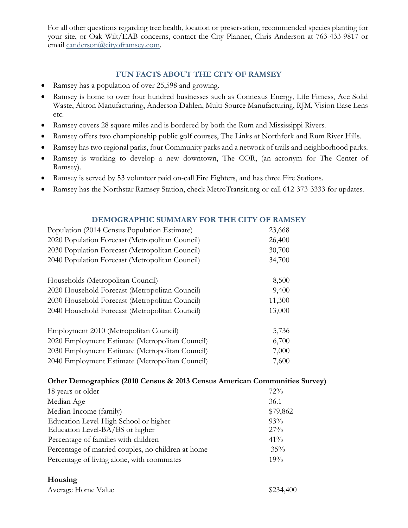For all other questions regarding tree health, location or preservation, recommended species planting for your site, or Oak Wilt/EAB concerns, contact the City Planner, Chris Anderson at 763-433-9817 or email [canderson@cityoframsey.com.](mailto:canderson@cityoframsey.com)

# **FUN FACTS ABOUT THE CITY OF RAMSEY**

- Ramsey has a population of over 25,598 and growing.
- Ramsey is home to over four hundred businesses such as Connexus Energy, Life Fitness, Ace Solid Waste, Altron Manufacturing, Anderson Dahlen, Multi-Source Manufacturing, RJM, Vision Ease Lens etc.
- Ramsey covers 28 square miles and is bordered by both the Rum and Mississippi Rivers.
- Ramsey offers two championship public golf courses, The Links at Northfork and Rum River Hills.
- Ramsey has two regional parks, four Community parks and a network of trails and neighborhood parks.
- Ramsey is working to develop a new downtown, The COR, (an acronym for The Center of Ramsey).
- Ramsey is served by 53 volunteer paid on-call Fire Fighters, and has three Fire Stations.
- Ramsey has the Northstar Ramsey Station, check MetroTransit.org or call 612-373-3333 for updates.

### **DEMOGRAPHIC SUMMARY FOR THE CITY OF RAMSEY**

| Population (2014 Census Population Estimate)    | 23,668 |
|-------------------------------------------------|--------|
| 2020 Population Forecast (Metropolitan Council) | 26,400 |
| 2030 Population Forecast (Metropolitan Council) | 30,700 |
| 2040 Population Forecast (Metropolitan Council) | 34,700 |
| Households (Metropolitan Council)               | 8,500  |
| 2020 Household Forecast (Metropolitan Council)  | 9,400  |
| 2030 Household Forecast (Metropolitan Council)  | 11,300 |
| 2040 Household Forecast (Metropolitan Council)  | 13,000 |
| Employment 2010 (Metropolitan Council)          | 5,736  |
| 2020 Employment Estimate (Metropolitan Council) | 6,700  |
| 2030 Employment Estimate (Metropolitan Council) | 7,000  |
| 2040 Employment Estimate (Metropolitan Council) | 7,600  |

### **Other Demographics (2010 Census & 2013 Census American Communities Survey)**

| 18 years or older                                  | 72%      |
|----------------------------------------------------|----------|
| Median Age                                         | 36.1     |
| Median Income (family)                             | \$79,862 |
| Education Level-High School or higher              | 93%      |
| Education Level-BA/BS or higher                    | $27\%$   |
| Percentage of families with children               | $41\%$   |
| Percentage of married couples, no children at home | $35\%$   |
| Percentage of living alone, with roommates         | 19%      |

### **Housing**

| Average Home Value |  |  |
|--------------------|--|--|
|                    |  |  |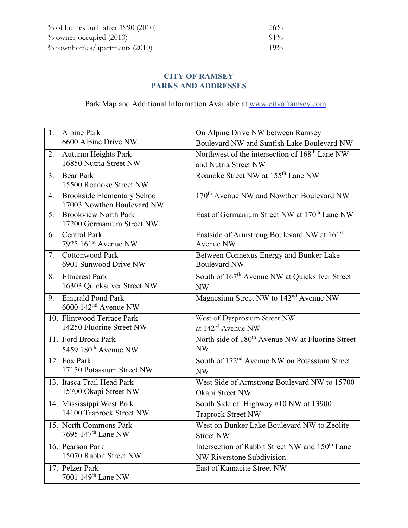| $\%$ of homes built after 1990 (2010) | $56\%$ |
|---------------------------------------|--------|
| $\%$ owner-occupied (2010)            | $91\%$ |
| $\%$ townhomes/apartments (2010)      | $19\%$ |

# **CITY OF RAMSEY PARKS AND ADDRESSES**

Park Map and Additional Information Available at [www.cityoframsey.com](http://www.cityoframsey.com/)

| 1.             | Alpine Park                        | On Alpine Drive NW between Ramsey                              |
|----------------|------------------------------------|----------------------------------------------------------------|
|                | 6600 Alpine Drive NW               | Boulevard NW and Sunfish Lake Boulevard NW                     |
| 2.             | Autumn Heights Park                | Northwest of the intersection of 168 <sup>th</sup> Lane NW     |
|                | 16850 Nutria Street NW             | and Nutria Street NW                                           |
| 3.             | <b>Bear Park</b>                   | Roanoke Street NW at 155 <sup>th</sup> Lane NW                 |
|                | 15500 Roanoke Street NW            |                                                                |
| 4.             | <b>Brookside Elementary School</b> | 170 <sup>th</sup> Avenue NW and Nowthen Boulevard NW           |
|                | 17003 Nowthen Boulevard NW         |                                                                |
| 5 <sub>1</sub> | <b>Brookview North Park</b>        | East of Germanium Street NW at 170 <sup>th</sup> Lane NW       |
|                | 17200 Germanium Street NW          |                                                                |
| 6.             | <b>Central Park</b>                | Eastside of Armstrong Boulevard NW at 161st                    |
|                | 7925 $161st$ Avenue NW             | Avenue NW                                                      |
| 7.             | <b>Cottonwood Park</b>             | Between Connexus Energy and Bunker Lake<br><b>Boulevard NW</b> |
|                | 6901 Sunwood Drive NW              |                                                                |
| 8.             | <b>Elmcrest Park</b>               | South of 167 <sup>th</sup> Avenue NW at Quicksilver Street     |
|                | 16303 Quicksilver Street NW        | <b>NW</b>                                                      |
| 9.             | <b>Emerald Pond Park</b>           | Magnesium Street NW to 142 <sup>nd</sup> Avenue NW             |
|                | $6000$ 142 <sup>nd</sup> Avenue NW |                                                                |
|                | 10. Flintwood Terrace Park         | West of Dysprosium Street NW                                   |
|                | 14250 Fluorine Street NW           | at 142 <sup>nd</sup> Avenue NW                                 |
|                | 11. Ford Brook Park                | North side of 180 <sup>th</sup> Avenue NW at Fluorine Street   |
|                | 5459 180 <sup>th</sup> Avenue NW   | <b>NW</b>                                                      |
|                | 12. Fox Park                       | South of 172 <sup>nd</sup> Avenue NW on Potassium Street       |
|                | 17150 Potassium Street NW          | <b>NW</b>                                                      |
|                | 13. Itasca Trail Head Park         | West Side of Armstrong Boulevard NW to 15700                   |
|                | 15700 Okapi Street NW              | Okapi Street NW                                                |
|                | 14. Mississippi West Park          | South Side of Highway #10 NW at 13900                          |
|                | 14100 Traprock Street NW           | <b>Traprock Street NW</b>                                      |
|                | 15. North Commons Park             | West on Bunker Lake Boulevard NW to Zeolite                    |
|                | 7695 147 <sup>th</sup> Lane NW     | <b>Street NW</b>                                               |
|                | 16. Pearson Park                   | Intersection of Rabbit Street NW and 150 <sup>th</sup> Lane    |
|                | 15070 Rabbit Street NW             | NW Riverstone Subdivision                                      |
|                | 17. Pelzer Park                    | East of Kamacite Street NW                                     |
|                | 7001 149 <sup>th</sup> Lane NW     |                                                                |